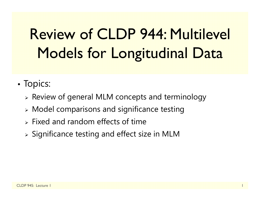# Review of CLDP 944: Multilevel Models for Longitudinal Data

- •• Topics:
	- $\triangleright$  Review of general MLM concepts and terminology
	- $\triangleright$  Model comparisons and significance testing
	- $\triangleright$  Fixed and random effects of time
	- $\triangleright$  Significance testing and effect size in MLM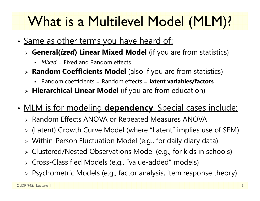# What is a Multilevel Model (MLM)?

- •• <u>Same as other terms you have heard of:</u>
	- **General(***ized***) Linear Mixed Model** (if you are from statistics)
		- *Mixed* = Fixed and Random effects
	- **Random Coefficients Model** (also if you are from statistics)
		- Random coefficients = Random effects = **latent variables/factors**
	- **Hierarchical Linear Model** (if you are from education)
- • MLM is for modeling **dependency**. Special cases include:
	- Random Effects ANOVA or Repeated Measures ANOVA
	- (Latent) Growth Curve Model (where "Latent" implies use of SEM)
	- Within-Person Fluctuation Model (e.g., for daily diary data)
	- Clustered/Nested Observations Model (e.g., for kids in schools)
	- Cross-Classified Models (e.g., "value-added" models)
	- Psychometric Models (e.g., factor analysis, item response theory)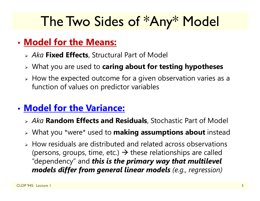### The Two Sides of \*Any\* Model

### • **Model for the Means:**

- *Aka* **Fixed Effects**, Structural Part of Model
- What you are used to **caring about for testing hypotheses**
- $\triangleright$  How the expected outcome for a given observation varies as a function of values on predictor variables

### • **Model for the Variance:**

- *Aka* **Random Effects and Residuals**, Stochastic Part of Model
- What you \*were\* used to **making assumptions about** instead
- $\triangleright$  How residuals are distributed and related across observations (persons, groups, time, etc.)  $\rightarrow$  these relationships are called "dependency" and *this is the primary way that multilevel models differ from general linear models (e.g., regression)*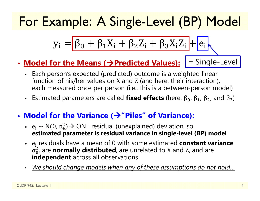### For Example: A Single-Level (BP) Model

$$
y_i = \boxed{\beta_0 + \beta_1 X_i + \beta_2 Z_i + \beta_3 X_i Z_i} + \boxed{e_i}
$$

- **Model for the Means ( Predicted Values):**
- = Single-Level
- Each person's expected (predicted) outcome is a weighted linear function of his/her values on X and Z (and here, their interaction), each measured once per person (i.e., this is a between-person model)
- Estimated parameters are called **fixed effects** (here,  $β_0$ ,  $β_1$ ,  $β_2$ , and  $β_3$ )
- Model for the Variance (→"Piles" of Variance):
	- $e_i \sim N(0, \sigma_e^2)$  **estimated parameter is residual variance in single-level (BP) model**  $_{\rm e}^{2}$ )  $\rightarrow$  ONE residual (unexplained) deviation, so
	- e<sub>i</sub> residuals have a mean of 0 with some estimated **constant variance**  $\sigma_{\rm e}$  **independent** across all observations  $_{\rm e}^2$ , are **normally distributed**, are unrelated to X and Z, and are
	- *We should change models when any of these assumptions do not hold…*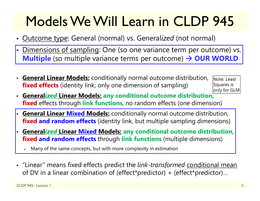## Models We Will Learn in CLDP 945

- Outcome type: General (normal) vs. General*ized* (not normal)
- •Dimensions of sampling: One (so one variance term per outcome) vs. **Multiple** (so multiple variance terms per outcome) **OUR WORLD**
- **General Linear Models:** conditionally normal outcome distribution, **fixed effects** (identity link; only one dimension of sampling)

Note: Least Squares is only for GLM

- **General***ized* **Linear Models: any conditional outcome distribution**, **fixed** effects through **link functions**, no random effects (one dimension)
- **General Linear Mixed Models:** conditionally normal outcome distribution, **fixed and random effects** (identity link, but multiple sampling dimensions)
- • **General***ized* **Linear Mixed Models: any conditional outcome distribution**, **fixed and random effects** through **link functions** (multiple dimensions)
	- ⋗ Many of the same concepts, but with more complexity in estimation
- "Linear" means fixed effects predict the *link-transformed* conditional mean of DV in a linear combination of (effect\*predictor) + (effect\*predictor)…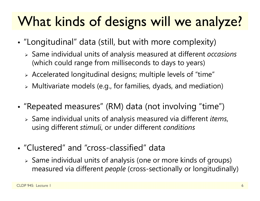### What kinds of designs will we analyze?

- • "Longitudinal" data (still, but with more complexity)
	- Same individual units of analysis measured at different *occasions* (which could range from milliseconds to days to years)
	- $\triangleright$  Accelerated longitudinal designs; multiple levels of "time"
	- Multivariate models (e.g., for families, dyads, and mediation)
- • "Repeated measures" (RM) data (not involving "time")
	- Same individual units of analysis measured via different *items*, using different *stimuli*, or under different *conditions*
- "Clustered" and "cross-classified" data
	- $\triangleright$  Same individual units of analysis (one or more kinds of groups) measured via different *people* (cross-sectionally or longitudinally)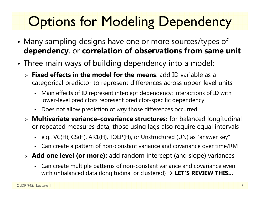# **Options for Modeling Dependency**

- • Many sampling designs have one or more sources/types of **dependency**, or **correlation of observations from same unit**
- • Three main ways of building dependency into a model:
	- **Fixed effects in the model for the means**: add ID variable as a categorical predictor to represent differences across upper-level units
		- Main effects of ID represent intercept dependency; interactions of ID with lower-level predictors represent predictor-specific dependency
		- Does not allow prediction of *why* those differences occurred
	- **Multivariate variance–covariance structures:** for balanced longitudinal or repeated measures data; those using lags also require equal intervals
		- e.g., VC(H), CS(H), AR1(H), TOEP(H), or Unstructured (UN) as "answer key"
		- Can create a pattern of non-constant variance and covariance over time/RM
	- **Add one level (or more):** add random intercept (and slope) variances
		- Can create multiple patterns of non-constant variance and covariance even with unbalanced data (longitudinal or clustered) **LET'S REVIEW THIS…**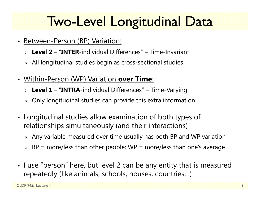### Two-Level Longitudinal Data

- Between-Person (BP) Variation:
	- **Level 2** "**INTER**-individual Differences" Time-Invariant
	- $\triangleright$  All longitudinal studies begin as cross-sectional studies
- Within-Person (WP) Variation **over Time**:
	- **Level 1** "**INTRA**-individual Differences" Time-Varying
	- $\triangleright$  Only longitudinal studies can provide this extra information
- Longitudinal studies allow examination of both types of relationships simultaneously (and their interactions)
	- $\triangleright$  Any variable measured over time usually has both BP and WP variation
	- $\triangleright$  BP = more/less than other people; WP = more/less than one's average
- I use "person" here, but level 2 can be any entity that is measured repeatedly (like animals, schools, houses, countries…)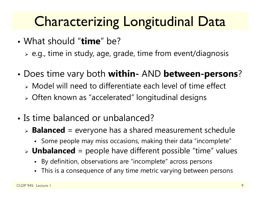## Characterizing Longitudinal Data

- What should "**time**" be?
	- $\triangleright$  e.g., time in study, age, grade, time from event/diagnosis
- • Does time vary both **within-** AND **between-persons** ?
	- Model will need to differentiate each level of time effect
	- Often known as "accelerated" longitudinal designs
- Is time balanced or unbalanced?
	- **Balanced** = everyone has a shared measurement schedule
		- Some people may miss occasions, making their data "incomplete"
	- **Unbalanced** = people have different possible "time" values
		- By definition, observations are "incomplete" across persons
		- This is a consequence of any time metric varying between persons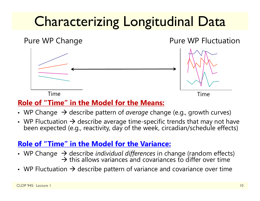# Characterizing Longitudinal Data



#### **Role of "Time" in the Model for the Means:**

- WP Change  $\,\rightarrow$  describe pattern of *average* change (e.g., growth curves)
- WP Fluctuation  $\rightarrow$  describe average time-specific trends that may not have<br>been expected (e.g., reactivity, day of the week, circadian/schedule effects)

#### **Role of "Time" in the Model for the Variance:**

- WP Change  $\,\rightarrow$  describe *individual differences* in change (random effects)  $\rightarrow$  this allows variances and covariances to differ over time
- WP Fluctuation  $\bm{\rightarrow}$  describe pattern of variance and covariance over time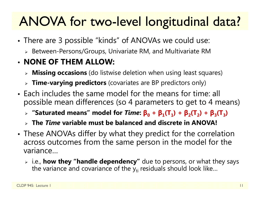### ANOVA for two-level longitudinal data?

- • There are 3 possible "kinds" of ANOVAs we could use:
	- $\triangleright$  Between-Persons/Groups, Univariate RM, and Multivariate RM

#### • **NONE OF THEM ALLOW:**

- **Missing occasions** (do listwise deletion when using least squares)
- **Time-varying predictors** (covariates are BP predictors only)
- Each includes the same model for the means for time: all possible mean differences (so 4 parameters to get to 4 means)
	- $\triangleright$  "Saturated means" model for *Time*:  $\beta_0 + \beta_1(T_1) + \beta_2(T_2) + \beta_3(T_3)$
	- **The** *Time* **variable must be balanced and discrete in ANOVA!**
- • These ANOVAs differ by what they predict for the correlation across outcomes from the same person in the model for the variance…
	- i.e., **how they "handle dependency"** due to persons, or what they says the variance and covariance of the  $\mathsf{y}_{\mathsf{t}\mathsf{i}}$  residuals should look like…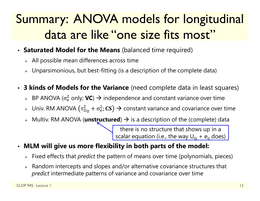### Summary: ANOVA models for longitudinal data are like "one size fits most"

- **Saturated Model for the Means** (balanced time required)
	- $\triangleright$  All possible mean differences across time
	- $\triangleright$  Unparsimonious, but best-fitting (is a description of the complete data)
- $\bullet$  **3 kinds of Models for the Variance** (need complete data in least squares)
	- $\triangleright$  BP ANOVA ( $\sigma_{\rm e}^2$  $\frac{2}{\mathrm{e}}$  only;  $\mathsf{VC}\rightarrow \mathsf{independence}$  and constant variance over time
	- $\triangleright$   $\,$  Univ. RM ANOVA ( $\tau^2_{\rm U}$  $_{\rm U_0}^2$  +  $\sigma_{\rm e}^2$ ; CS)  $\rightarrow$  constant variance and covariance over time
	- **▶ Multiv. RM ANOVA (unstructured) → is a description of the (complete) data**

there is no structure that shows up in a scalar equation (i.e., the way  $\sf{U}_{0i}$  +  $\sf{e}_{\sf{ti}}$  does)  $\sf{}$ 

- • **MLM will give us more flexibility in both parts of the model:**
	- Fixed effects that *predict* the pattern of means over time (polynomials, pieces)
	- $\triangleright$  Random intercepts and slopes and/or alternative covariance structures that *predict* intermediate patterns of variance and covariance over time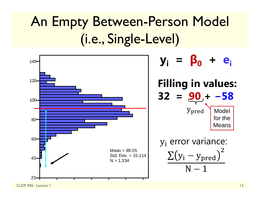# An Empty Between-Person Model (i.e., Single-Level)

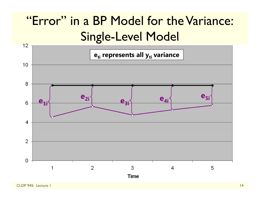### "Error" in a BP Model for the Variance: Single-Level Model

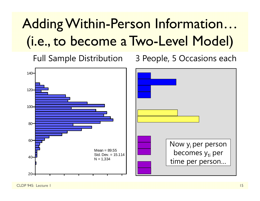# Adding Within-Person Information… (i.e., to become a Two-Level Model)

Full Sample Distribution 3 People, 5 Occasions each



CLDP 945: Lecture 1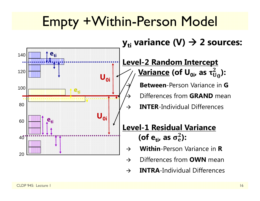### Empty +Within-Person Model

 $\rightarrow$ 

 $\rightarrow$ 



### $\mathbf{y}_{\mathsf{ti}}$  variance (V)  $\boldsymbol{\rightarrow}$  2 sources:

#### **Level-2 Random Intercept <u>Variance</u> (of U<sub>0i</sub>, as τ** $_0^2$ **):**

 **Between**-Person Variance in **G**Differences from **GRAND** mean

**INTER**-Individual Differences

### **Level-1 Residual Variance** (of e<sub>ti</sub>, as  $\sigma_{\rm e}^2$ ):

- $\rightarrow$ **Within**-Person Variance in **R**
- $\rightarrow$ Differences from **OWN** mean
- $\rightarrow$ **INTRA**-Individual Differences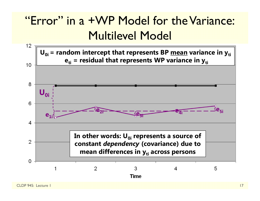### "Error" in a +WP Model for the Variance: Multilevel Model

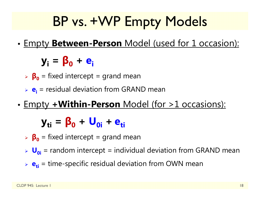### BP vs. +WP Empty Models

•Empty **Between-Person** Model (used for 1 occasion):

**yi <sup>=</sup> β 0 <sup>+</sup> ei**

- **β 0** = fixed intercept = grand mean
- **e**<sub>i</sub> = residual deviation from GRAND mean
- •Empty **+Within-Person** Model (for >1 occasions):

**yti <sup>=</sup> β 0 <sup>+</sup> U0i+ eti**

- **β 0** = fixed intercept = grand mean
- **U**<sub>oi</sub> = random intercept = individual deviation from GRAND mean
- **e**<sub>ti</sub> = time-specific residual deviation from OWN mean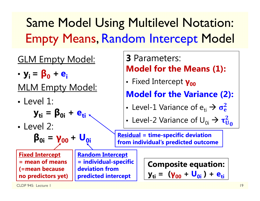### Same Model Using Multilevel Notation: Empty Means, Random Intercept Model

### GLM Empty Model:

- $y_i = \beta_0$ **+ ei**
- MLM Empty Model:
- Level 1:

**yti <sup>=</sup> β0i <sup>+</sup> eti**

• Level 2:

**β0i <sup>=</sup> γ00 <sup>+</sup> U0i**

**Fixed Intercept = mean of means (=mean because no predictors yet)**  **Random Intercept = individual-specific deviation from predicted intercept**

**3** Parameters: **Model for the Means (1):** 

**•** Fixed Intercept  $\gamma_{00}$ 

**Model for the Variance (2):**

• Level-1 Variance of 
$$
e_{ti} \rightarrow \sigma_e^2
$$

• Level-2 Variance of 
$$
U_{0i} \rightarrow \tau_{U_0}^2
$$

**Residual = time-specific deviation from individual's predicted outcome** 

> **Composite equation: y<sub>ti</sub> = (γ<sub>00</sub> + U<sub>0i</sub> )+ e<sub>ti</sub>**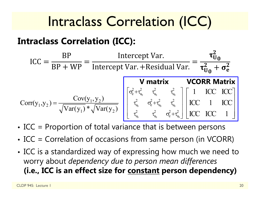### Intraclass Correlation (ICC)

### **Intraclass Correlation (ICC):**

$$
ICC = \frac{BP}{BP + WP} = \frac{Intercept Var.}{Intercept Var + Residual Var.} = \frac{\tau_{U_0}^2}{\tau_{U_0}^2 + \sigma_e^2}
$$

$$
Corr(y_1, y_2) = \frac{Cov(y_1, y_2)}{\sqrt{Var(y_1)} * \sqrt{Var(y_2)}} \begin{bmatrix} \sigma_e^2 + \tau_{u_0}^2 & \tau_{u_0}^2 & \tau_{u_0}^2 \\ \tau_{u_0}^2 & \sigma_e^2 + \tau_{u_0}^2 & \tau_{u_0}^2 \end{bmatrix} \begin{bmatrix} 1 & ICC & ICC \\ ICC & I & ICC \\ ICC & I & ICC \\ ICC & ICC & I \end{bmatrix}
$$

- •ICC = Proportion of total variance that is between persons
- •• ICC = Correlation of occasions from same person (in VCORR)
- • ICC is a standardized way of expressing how much we need to worry about *dependency due to person mean differences* **(i.e., ICC is an effect size for constant person dependency)**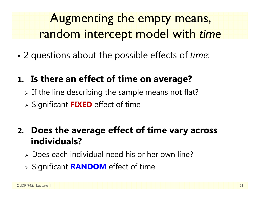### Augmenting the empty means, random intercept model with *time*

•2 questions about the possible effects of *time*:

### **1. Is there an effect of time on average?**

- $\triangleright$  If the line describing the sample means not flat?
- Significant **FIXED** effect of time

### **2. Does the average effect of time vary across individuals?**

- Does each individual need his or her own line?
- Significant **RANDOM** effect of time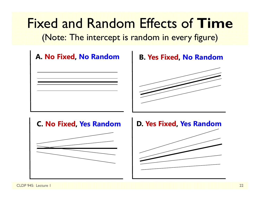Fixed and Random Effects of **Time**

(Note: The intercept is random in every figure)

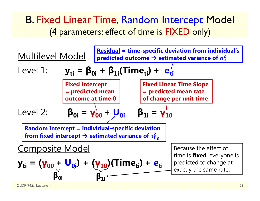### B. Fixed Linear Time, Random Intercept Model (4 parameters: effect of time is FIXED only)

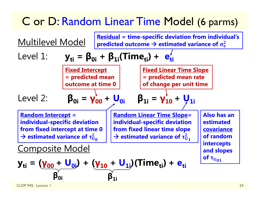### C or D: Random Linear Time Model (6 parms)

| Multilevel Model                                                                  | Residual = time-specific deviation from individual's<br>predicted outcome $\rightarrow$ estimated variance of $\sigma_e^2$ |                                                               |                                                                             |
|-----------------------------------------------------------------------------------|----------------------------------------------------------------------------------------------------------------------------|---------------------------------------------------------------|-----------------------------------------------------------------------------|
| Level 1:                                                                          | \n $y_{ti} = \beta_{0i} + \beta_{1i} (Time_{ti}) + e_{ti}^{\prime}$ \n                                                     | \n $\frac{Fixed\text{Intercept}}{= predicted\text{ mean}}$ \n | \n $\frac{Fixed\text{ Linear Time Slope}}{= predicted\text{ mean rate}}$ \n |
| Level 2:                                                                          | \n $\beta_{0i} = \gamma_{00}^{\prime} + U_{0i}$ \n                                                                         | \n $\beta_{1i} = \gamma_{10}^{\prime} + \gamma_{1i}$ \n       |                                                                             |
| Random\text{Intercept} = individual-specific\text{ deviation}                     | Random\text{ linear Time Slope} = individual-specific\text{ deviation}                                                     |                                                               |                                                                             |
| from fixed intercept at time 0                                                    | individual-specific\text{ deviation}                                                                                       | estimated                                                     |                                                                             |
| from fixed inverse of $\tau_{00}^2$                                               | estimated linear time slope                                                                                                | estimated                                                     |                                                                             |
| Composite \text{ variance of } \tau_{00}^2                                        | estimated variance of $\tau_{01}^2$                                                                                        | of random                                                     |                                                                             |
| Composite Model                                                                   | outcorresponding vectors                                                                                                   | outcorresponds                                                |                                                                             |
| $y_{ti} = (\gamma_{00} + U_{0i}) + (\gamma_{10} + U_{1i})(Time_{ti}) + e_{ti}$ \n | \n $\beta_{0i}$ \n                                                                                                         | \n $\beta_{1i}$ \n                                            |                                                                             |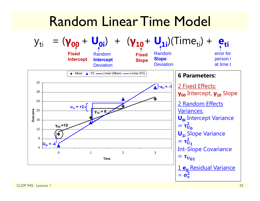### Random Linear Time Model



CLDP 945: Lecture 1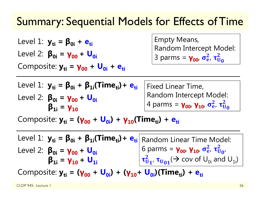### Summary: Sequential Models for Effects of Time

Level 1:  $y_{ti} = β_{0i} + e_{ti}$ Level 2: **β0i <sup>=</sup> γ00 <sup>+</sup> U0i**Composite:  $y_{ti} = y_{00} + U_{0i} + e_{ti}$  Empty Means, Random Intercept Model: 3 parms = **γ<sub>οο</sub>, σ<sup>2</sup>**  $\frac{2}{\rm e}$ ,  $\tau_{\rm U}^2$  $\frac{2}{\mathsf{U}_0}$ 

| Level 1: $y_{ti} = \beta_{0i} + \beta_{1i}(Time_{ti}) + e_{ti}$   Fixed Linear Time, |                                                                                                            |
|--------------------------------------------------------------------------------------|------------------------------------------------------------------------------------------------------------|
| Level 2: $\beta_{0i} = \gamma_{00} + U_{0i}$<br>$\beta_{1i} = \gamma_{10}$           | Random Intercept Model:<br>4 parms = $\gamma_{00}$ , $\gamma_{10}$ , $\sigma_{e}^{2}$ , $\tau_{U_{0}}^{2}$ |

Composite:  $y_{ti} = (y_{00} + U_{0i}) + y_{10}$ (Time<sub>ti</sub>) + e<sub>ti</sub>

Level 1:  $y_{ti} = β_{0i} + β_{1i}(Time_{ti}) + e_{ti}$  Random Linear Time Model: Level 2: **β0i <sup>=</sup> γ00 <sup>+</sup> U0iβ1i <sup>=</sup> γ10 <sup>+</sup> U1i**6 parms = **γ<sub>οο</sub>, γ<sub>10</sub>, σ** $\frac{2}{6}$  $\frac{2}{\rm e}$ ,  $\tau_{\rm U}^2$  $\overset{\mathbf{2}}{\mathbf{U}}\mathbf{0}^{\prime}$  $\tau_{\bar{U}}$  $\frac{2}{\mathsf{U}_\mathbf{1'}}$   $\boldsymbol{\tau}_{\mathsf{U}_\mathbf{01}}(\boldsymbol{\rightarrow}$  cov of  $\mathsf{U}_{\mathsf{0i}}$  and  $\mathsf{U}_{\mathsf{1i}}$ )

Composite: y<sub>ti</sub> = (γ<sub>00</sub> + U<sub>0i</sub>) + (γ<sub>10</sub>+ U<sub>0i</sub>)(Time<sub>ti</sub>) + e<sub>ti</sub>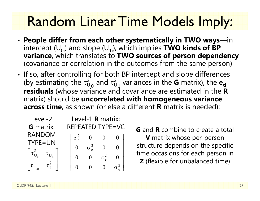### Random Linear Time Models Imply:

- **People differ from each other systematically in TWO ways**—in intercept  $(U_{0i})$  and slope  $(U_{1i})$ , which implies **TWO kinds of BP variance**, which translates to **TWO sources of person dependency**  (covariance or correlation in the outcomes from the same person)
- If so, after controlling for both BP intercept and slope differences (by estimating the  $\tau_{\mathrm{U}}^{2}$  $_{\rm U_0}^2$  and  $\rm \tau_U^2$  $^2_{{\mathbf{U}}_{\mathbf{1}}}$  variances in the **G** matrix), the  $\mathbf{e}_{\mathbf{t}}$ **residuals** (whose variance and covariance are estimated in the **R** matrix) should be **uncorrelated with homogeneous variance across time**, as shown (or else a different **R** matrix is needed):

| Level-2          | Level-1 <b>R</b> matrix: |  |  |  |
|------------------|--------------------------|--|--|--|
| <b>G</b> matrix: | REPEATED TYPE=VC         |  |  |  |
| <b>RANDOM</b>    |                          |  |  |  |
| TYPE=UN          |                          |  |  |  |
|                  |                          |  |  |  |
|                  |                          |  |  |  |
|                  |                          |  |  |  |

**G** and **R** combine to create a total **V** matrix whose per-person structure depends on the specific time occasions for each person in **Z** (flexible for unbalanced time)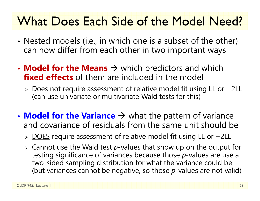### What Does Each Side of the Model Need?

- • Nested models (i.e., in which one is a subset of the other) can now differ from each other in two important ways
- **Model for the Means**  $\rightarrow$  which predictors and which **fixed effects** of them are included in the model
	- > Does not require assessment of relative model fit using LL or -2LL (can use univariate or multivariate Wald tests for this)
- **Model for the Variance**  $\rightarrow$  what the pattern of variance and covariance of residuals from the same unit should be
	- > DOES require assessment of relative model fit using LL or -2LL
	- Cannot use the Wald test *p*-values that show up on the output for testing significance of variances because those *p*-values are use a two-sided sampling distribution for what the variance could be (but variances cannot be negative, so those *p*-values are not valid)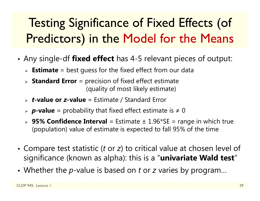### Testing Significance of Fixed Effects (of Predictors) in the Model for the Means

- • Any single-df **fixed effect** has 4-5 relevant pieces of output:
	- **Estimate** = best guess for the fixed effect from our data
	- **Standard Error** = precision of fixed effect estimate (quality of most likely estimate)
	- *t***-value or**  *z***-value** = Estimate / Standard Error
	- *p***-value** = probability that fixed effect estimate is ≠ 0
	- **95% Confidence Interval** = Estimate ± 1.96\*SE = range in which true (population) value of estimate is expected to fall 95% of the time
- Compare test statistic (*t* or *z*) to critical value at chosen level of significance (known as alpha): this is a "**univariate Wald test** "
- Whether the p-value is based on t or z varies by program...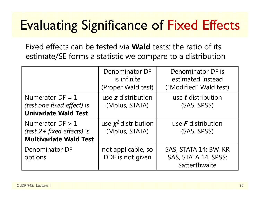### Evaluating Significance of Fixed Effects

Fixed effects can be tested via **Wald** tests: the ratio of its estimate/SE forms a statistic we compare to a distribution

|                                                                                      | Denominator DF<br>is infinite<br>(Proper Wald test) | Denominator DF is<br>estimated instead<br>("Modified" Wald test) |
|--------------------------------------------------------------------------------------|-----------------------------------------------------|------------------------------------------------------------------|
| Numerator $DF = 1$<br>(test one fixed effect) is<br><b>Univariate Wald Test</b>      | use <b>z</b> distribution<br>(Mplus, STATA)         | use <b>t</b> distribution<br>(SAS, SPSS)                         |
| Numerator $DF > 1$<br>(test $2 + fixed$ effects) is<br><b>Multivariate Wald Test</b> | use $\chi^2$ distribution<br>(Mplus, STATA)         | use $\bm{F}$ distribution<br>(SAS, SPSS)                         |
| <b>Denominator DF</b><br>options                                                     | not applicable, so<br>DDF is not given              | SAS, STATA 14: BW, KR<br>SAS, STATA 14, SPSS:<br>Satterthwaite   |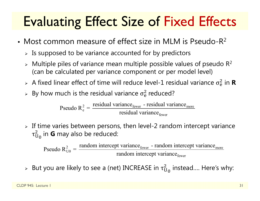# Evaluating Effect Size of Fixed Effects

- Most common measure of effect size in MLM is Pseudo-R 2
	- $\triangleright$  Is supposed to be variance accounted for by predictors
	- $\triangleright$  Multiple piles of variance mean multiple possible values of pseudo R<sup>2</sup> (can be calculated per variance component or per model level)
	- $>$  A fixed linear effect of time will reduce level-1 residual variance  $\sigma_{\rm e}^2$  $\frac{2}{6}$  in **R**
	- $\triangleright$  By how much is the residual variance  $\sigma_{\rm e}^2$  $<sup>2</sup>$  reduced?</sup>

 $\epsilon_{\text{e}}^2 = \frac{\text{residual variance}_{\text{fewer}} - \text{residual variance}_{\text{move}}}{\text{residual variance}_{\text{fewer}}}$ residual variance - residual variancePseudo  $R_e^2 = \frac{7.65 \text{ rad}}{2} \cdot \frac{1.65 \text{ rad}}{2} \cdot \text{residual variance}}$ 

 $\triangleright$  If time varies between persons, then level-2 random intercept variance  $\tau_{\rm U}$  $^2_{{\mathsf U}_0}$  in **G** may also be reduced:

 $\frac{2}{U0} = \frac{1 \text{ and on inductor per variable}}{\text{random intercept variance}}$ Pseudo  $R_{U0}^2 = \frac{\text{random intercept variance}_{\text{fewer}} - \text{random intercept variance}}{\text{random intercept variance}_{\text{fewer}}}$ 

 $\triangleright$  But you are likely to see a (net) INCREASE in  $\tau_{\mathrm{U}}^2$  $^2_{\mathrm{U}_\mathrm{0}}$  instead.... Here's why: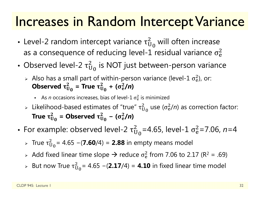### Increases in Random Intercept Variance

- Level-2 random intercept variance  $\tau^2_U$  $_{\rm U_0}^2$  will often increase as a consequence of reducing level-1 residual variance  $\sigma_{\rm e}^2$  $\overline{2}$
- Observed level-2  $\tau^2_{\mathrm{U}}$  $_{\rm U_0}^2$  is NOT just between-person variance
	- > Also has a small part of within-person variance (level-1  $\sigma_{\rm e}^2$ ), or: Observed  $\bm{\tau}^{\scriptscriptstyle\mathcal{L}}_{\mathsf{U}}$  $_{\rm U_0}^2$  = True  $\tau_{\rm U}^2$  $^{2}_{U_{0}}$  + (σ<sup>2</sup><sub>e</sub>  $^{2}_{e}$ /n)
		- **As** *n* occasions increases, bias of level-1  $\sigma_{\rm e}^2$  $\frac{2}{9}$  is minimized
	- $\triangleright$  Likelihood-based estimates of "true"  $\tau_{\mathrm{U}}^2$  $_{\rm U_0}^2$  use ( $\sigma_{\rm e}^2$  $\frac{2}{e}$ /n) as correction factor: True  $\bm{\tau}^{\text{{\tiny \it L}}}_{\text{U}}$  $_{\rm U_0}^2$  = Observed  $\tau_{\rm U}^2$  $\frac{2}{\mathsf{U}_0}$  – ( $\sigma_{\rm e}^2$  $^{2}_{e}$ /n)
- For example: observed level-2  $\tau^2_{\mathrm{U}}$  $\overline{2}$ <sub>0</sub>=4.65, level-1 σ $^2$ e=7.06, *n*=4
	- $\triangleright$  True τ $_\mathrm{U}^2$ ଶ = 4.65 <sup>−</sup>(**7.60**/4) = **2.88** in empty means model
	- $\triangleright$  Add fixed linear time slope  $\rightarrow$  reduce  $\sigma_{\rm e}^2$  $^{2}_{6}$  from 7.06 to 2.17 (R<sup>2</sup> = .69)
	- $>$  But now True  $\tau^2_{\mathrm{U}}$ ଶ = 4.65 <sup>−</sup>(**2.17**/4) = **4.10** in fixed linear time model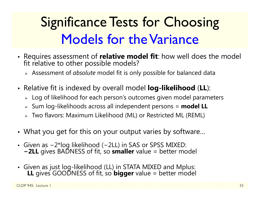# Significance Tests for Choosing Models for the Variance

- Requires assessment of **relative model fit**: how well does the model<br>fit relative to other possible models?
	- Assessment of *absolute* model fit is only possible for balanced data
- Relative fit is indexed by overall model **log-likelihood** (**LL**):
	- $\triangleright\;$  Log of likelihood for each person's outcomes given model parameters
	- Sum log-likelihoods across all independent persons = **model LL**
	- Two flavors: Maximum Likelihood (ML) or Restricted ML (REML)
- What you get for this on your output varies by software…
- Given as <sup>−</sup>2\*log likelihood ( <sup>−</sup>2LL) in SAS or SPSS MIXED: **<sup>−</sup>2LL** gives BADNESS of fit, so **smaller** value = better model
- Given as just log-likelihood (LL) in STATA MIXED and Mplus: **LL** gives GOODNESS of fit, so **bigger** value = better model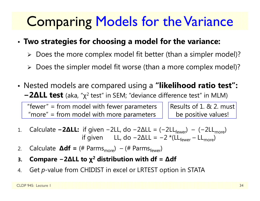### Comparing Models for the Variance

#### •**Two strategies for choosing a model for the variance:**

- Does the more complex model fit better (than a simpler model)?
- Does the simpler model fit worse (than a more complex model)?
- Nested models are compared using a **"likelihood ratio test": <sup>−</sup>2∆LL test** (aka, "χ<sup>2</sup> test" in SEM; "deviance difference test" in MLM)

"fewer" = from model with fewer parameters "more" = from model with more parameters

Results of 1. & 2. must be positive values!

- 1.Calculate  $-2\Delta L$ : if given  $-2L$ , do  $-2\Delta L$  = ( $-2L$ <sub>fewer</sub>) – ( $-2L$ <sub>more</sub>) if given LL, do −2∆LL = −2 \*(LL<sub>fewer</sub> – LL<sub>more</sub>)
- 2.Calculate  $\Delta df =$  (# Parms<sub>more</sub>) – (# Parms<sub>fewer</sub>)
- **3.Compare −2∆LL to χ<sup>2</sup> distribution with df <sup>=</sup>∆df**
- 4.Get *p*-value from CHIDIST in excel or LRTEST option in STATA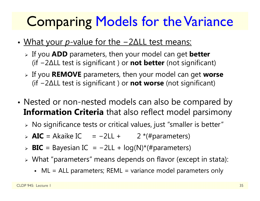### Comparing Models for the Variance

- • What your *p*-value for the −2∆LL test means:
	- If you **ADD** parameters, then your model can get **better** (if −2∆LL test is significant ) or **not better** (not significant)
	- If you **REMOVE** parameters, then your model can get **worse** (if −2∆LL test is significant ) or **not worse** (not significant)
- • Nested or non-nested models can also be compared by **Information Criteria** that also reflect model parsimony
	- $\triangleright$  No significance tests or critical values, just "smaller is better"
	- **AIC** = Akaike IC = −2LL + 2 \*(#parameters)
	- **BIC** = Bayesian IC = −2LL + log(N)\*(#parameters)
	- What "parameters" means depends on flavor (except in stata):
		- ML = ALL parameters; REML = variance model parameters only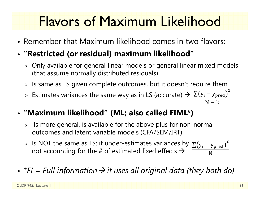## Flavors of Maximum Likelihood

- Remember that Maximum likelihood comes in two flavors:
- **"Restricted (or residual) maximum likelihood"**
	- $\triangleright$  Only available for general linear models or general linear mixed models (that assume normally distributed residuals)
	- $\triangleright$  Is same as LS given complete outcomes, but it doesn't require them
	- > Estimates variances the same way as in LS (accurate)  $\rightarrow \frac{\sum (y_i y_{pred})}{\sum (y_i y_{pred})}$  $\overline{c}$  $\overline{N-k}$
- **"Maximum likelihood" (ML; also called FIML\*)**
	- $\triangleright$  Is more general, is available for the above plus for non-normal outcomes and latent variable models (CFA/SEM/IRT)
	- > Is NOT the same as LS: it under-estimates variances by  $\sum(y_i y_{\rm pred})$ not accounting for the # of estimated fixed effects  $\bm{\rightarrow}$ ଶ N
- *\*FI = Full information it uses all original data (they both do)*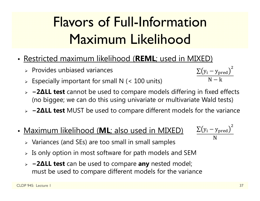# Flavors of Full-Information Maximum Likelihood

- Restricted maximum likelihood (**REML**; used in MIXED)
	- $\triangleright$  Provides unbiased variances
	- $\triangleright$  Especially important for small N (< 100 units)
	- **− 2 ∆LL test** cannot be used to compare models differing in fixed effects (no biggee; we can do this using univariate or multivariate Wald tests)
	- **− 2 ∆LL test** MUST be used to compare different models for the variance
- Maximum likelihood (**ML**; also used in MIXED)
	- $\triangleright$  Variances (and SEs) are too small in small samples
	- $\triangleright$  Is only option in most software for path models and SEM
	- **− 2 ∆LL test** can be used to compare **any** nested model; must be used to compare different models for the variance

$$
\frac{\sum (y_i - y_{pred})^2}{N}
$$

 $\rm \Sigma(y_{i}-y_{pred}$  $\overline{c}$  $\mathsf{N}-\mathsf{k}$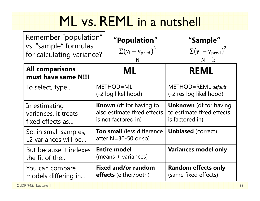### ML vs. REML in a nutshell

| Remember "population"<br>vs. "sample" formulas<br>for calculating variance? | <b>"Population"</b><br>$\sum(y_i - y_{pred})^2$<br>N                                 | "Sample"<br>$\sum(y_i - y_{pred})^2$<br>$N - k$                               |  |
|-----------------------------------------------------------------------------|--------------------------------------------------------------------------------------|-------------------------------------------------------------------------------|--|
| <b>All comparisons</b><br>must have same N!!!                               | ML                                                                                   | <b>REML</b>                                                                   |  |
| To select, type                                                             | METHOD=ML<br>(-2 log likelihood)                                                     | METHOD=REML default<br>(-2 res log likelihood)                                |  |
| In estimating<br>variances, it treats<br>fixed effects as                   | <b>Known</b> (df for having to<br>also estimate fixed effects<br>is not factored in) | <b>Unknown</b> (df for having<br>to estimate fixed effects<br>is factored in) |  |
| So, in small samples,<br>L2 variances will be                               | <b>Too small</b> (less difference<br>after $N = 30 - 50$ or so)                      | <b>Unbiased</b> (correct)                                                     |  |
| But because it indexes<br>the fit of the                                    | <b>Entire model</b><br>(means + variances)                                           | <b>Variances model only</b>                                                   |  |
| You can compare<br>models differing in                                      | <b>Fixed and/or random</b><br><b>effects</b> (either/both)                           | <b>Random effects only</b><br>(same fixed effects)                            |  |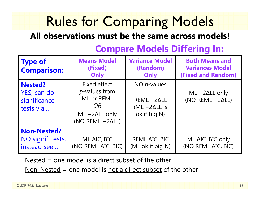# Rules for Comparing Models

#### **All observations must be the same across models!**

| <b>Type of</b><br><b>Comparison:</b>                       | <b>Means Model</b><br>(Fixed)<br>Only                                                                                 | <b>Variance Model</b><br>(Random)<br>Only                                | <b>Both Means and</b><br><b>Variances Model</b><br><b>(Fixed and Random)</b> |
|------------------------------------------------------------|-----------------------------------------------------------------------------------------------------------------------|--------------------------------------------------------------------------|------------------------------------------------------------------------------|
| <b>Nested?</b><br>YES, can do<br>significance<br>tests via | Fixed effect<br><i>p</i> -values from<br>ML or REML<br>$-$ OR $-$<br>$ML -2\Delta LL$ only<br>(NO REML $-2\Delta L$ ) | NO $p$ -values<br>$REML -2ALL$<br>$(ML - 2\Delta LL)$ is<br>ok if big N) | $ML - 2\Delta LL$ only<br>(NO REML $-2\Delta L$ )                            |
| Non-Nested?<br>NO signif. tests,<br>instead see            | ML AIC, BIC<br>(NO REML AIC, BIC)                                                                                     | REML AIC, BIC<br>(ML ok if big N)                                        | ML AIC, BIC only<br>(NO REML AIC, BIC)                                       |

### **Compare Models Differing In:**

Nested = one model is a direct subset of the other

Non-Nested = one model is not a direct subset of the other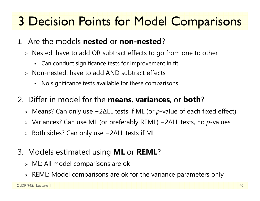### 3 Decision Points for Model Comparisons

- 1. Are the models **nested** or **non-nested** ?
	- Nested: have to add OR subtract effects to go from one to other
		- Can conduct significance tests for improvement in fit
	- Non-nested: have to add AND subtract effects
		- No significance tests available for these comparisons
- 2. Differ in model for the **means**, **variances**, or **both** ?
	- Means? Can only use − 2 ∆LL tests if ML (or *p*-value of each fixed effect)
	- Variances? Can use ML (or preferably REML) − 2 ∆LL tests, no *p*-values
	- $\triangleright$  Both sides? Can only use − 2 ∆LL tests if ML
- 3. Models estimated using **ML** or **REML** ?
	- $\triangleright$  ML: All model comparisons are ok
	- $\triangleright$  REML: Model comparisons are ok for the variance parameters only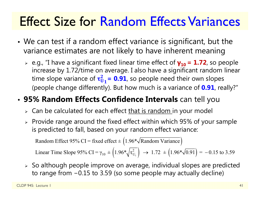### Effect Size for Random Effects Variances

- • We can test if a random effect variance is significant, but the variance estimates are not likely to have inherent meaning
	- e.g., "I have a significant fixed linear time effect of **γ10 = 1.72**, so people increase by 1.72/time on average. I also have a significant random linear time slope variance of  $\tau_{U_1}^2$  = 0.91, so people need their own slopes (people change differently). But how much is a variance of **0.91**, really?"

#### •**95% Random Effects Confidence Intervals** can tell you

- $\triangleright\;$  Can be calculated for each effect <u>that is random i</u>n your model
- $\triangleright$  Provide range around the fixed effect within which 95% of your sample is predicted to fall, based on your random effect variance:

Random Effect 95% CI = fixed effect  $\pm (1.96*\sqrt{\text{Random Variance}})$ 

 $_{10} \pm \left(1.96*\sqrt{\tau_{U_1}^2}\right) \rightarrow 1.72 \pm \left(1.96*\sqrt{0.91}\right)$ Linear Time Slope 95% CI =  $\gamma_{10} \pm (1.96 \sqrt[k]{\tau_{\text{UL}}}) \rightarrow 1.72 \pm (1.96 \sqrt[k]{0.91}) = -0.15$  to 3.59

 $\triangleright$  So although people improve on average, individual slopes are predicted to range from −0.15 to 3.59 (so some people may actually decline)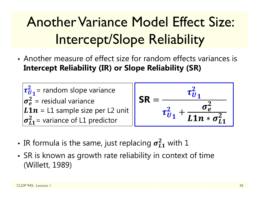# Another Variance Model Effect Size: Intercept/Slope Reliability

• Another measure of effect size for random effects variances is **Intercept Reliability (IR) or Slope Reliability (SR)**



- •• IR formula is the same, just replacing  $\pmb{\sigma_{L1}^2}$  $\frac{2}{11}$  with 1
- • SR is known as growth rate reliability in context of time (Willett, 1989)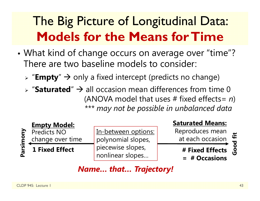### The Big Picture of Longitudinal Data: **Models for the Means for Time**

- • What kind of change occurs on average over "time"? There are two baseline models to consider:
	- > "**Empty**" → only a fixed intercept (predicts no change)
	- $\triangleright$  "Saturated"  $\rightarrow$  all occasion mean differences from time 0 (ANOVA model that uses # fixed effects= *n* ) *\*\*\* may not be possible in unbalanced data*



In-between options: polynomial slopes, piecewise slopes, nonlinear slopes…

#### **Saturated Means:**

Reproduces mean at each occasion

**# Fixed Effects** 

**= # Occasions**

### Good fit **Good fit**

#### *Name… that… Trajectory!*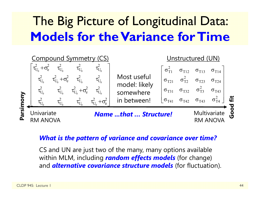### The Big Picture of Longitudinal Data: **Models for the Variance for Time**



#### *What is the pattern of variance and covariance over time?*

CS and UN are just two of the many, many options available within MLM, including *random effects models* (for change) and *alternative covariance structure models* (for fluctuation).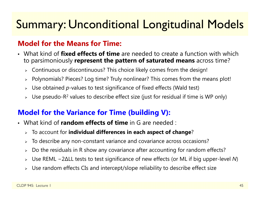### Summary: Unconditional Longitudinal Models

#### **Model for the Means for Time:**

- What kind of **fixed effects of time** are needed to create a function with which to parsimoniously **represent the pattern of saturated means** across time?
	- $\triangleright$   $\,$  Continuous or discontinuous? This choice likely comes from the design!
	- Polynomials? Pieces? Log time? Truly nonlinear? This comes from the means plot!
	- Use obtained *p*-values to test significance of fixed effects (Wald test)
	- $\triangleright$  Use pseudo-R<sup>2</sup> values to describe effect size (just for residual if time is WP only)

#### **Model for the Variance for Time (building V):**

- What kind of **random effects of time** in G are needed :
	- To account for **individual differences in each aspect of change** ?
	- $\triangleright$  To describe any non-constant variance and covariance across occasions?
	- $\blacktriangleright$ Do the residuals in R show any covariance after accounting for random effects?
	- Use REML − 2 ∆LL tests to test significance of new effects (or ML if big upper-level *N*)
	- $\triangleright$  Use random effects CIs and intercept/slope reliability to describe effect size